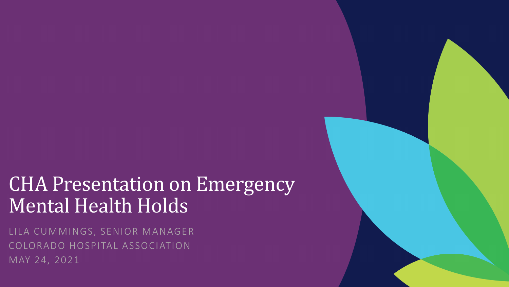### CHA Presentation on Emergency Mental Health Holds

LILA CUMMINGS, SENIOR MANAGER COLORADO HOSPITAL ASSOCIATION MAY 24, 2021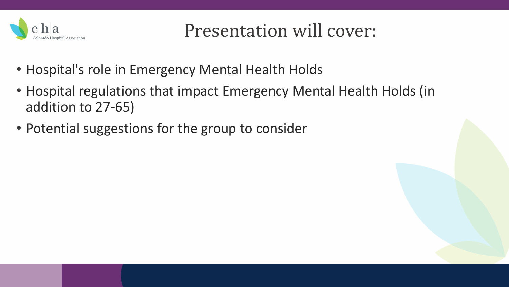

Presentation will cover:

- Hospital's role in Emergency Mental Health Holds
- Hospital regulations that impact Emergency Mental Health Holds (in addition to 27-65)
- Potential suggestions for the group to consider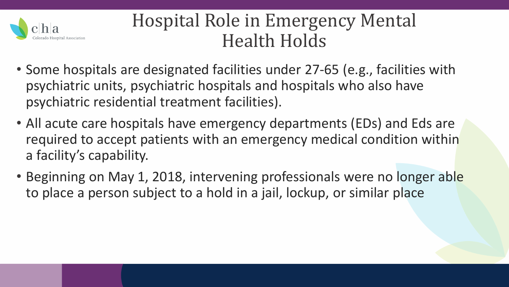

### Hospital Role in Emergency Mental Health Holds

- Some hospitals are designated facilities under 27-65 (e.g., facilities with psychiatric units, psychiatric hospitals and hospitals who also have psychiatric residential treatment facilities).
- All acute care hospitals have emergency departments (EDs) and Eds are required to accept patients with an emergency medical condition within a facility's capability.
- Beginning on May 1, 2018, intervening professionals were no longer able to place a person subject to a hold in a jail, lockup, or similar place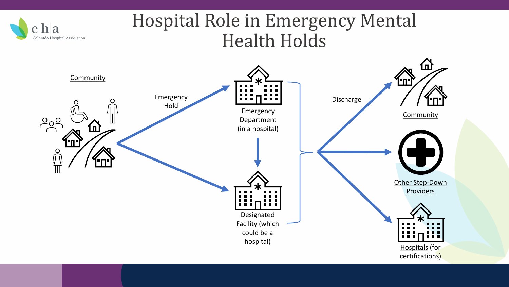

#### Hospital Role in Emergency Mental Health Holds

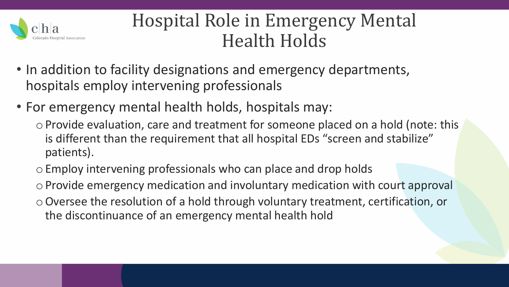

### Hospital Role in Emergency Mental Health Holds

- In addition to facility designations and emergency departments, hospitals employ intervening professionals
- For emergency mental health holds, hospitals may:
	- oProvide evaluation, care and treatment for someone placed on a hold (note: this is different than the requirement that all hospital EDs "screen and stabilize" patients).
	- oEmploy intervening professionals who can place and drop holds
	- oProvide emergency medication and involuntary medication with court approval
	- oOversee the resolution of a hold through voluntary treatment, certification, or the discontinuance of an emergency mental health hold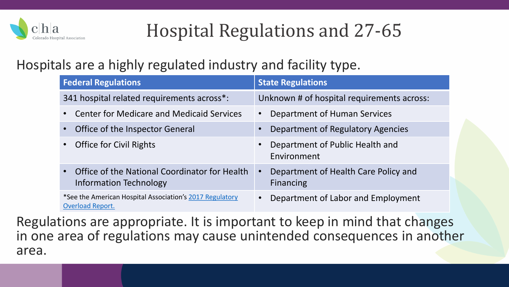

#### Hospitals are a highly regulated industry and facility type.

| <b>Federal Regulations</b>                                                          | <b>State Regulations</b>                                       |
|-------------------------------------------------------------------------------------|----------------------------------------------------------------|
| 341 hospital related requirements across*:                                          | Unknown # of hospital requirements across:                     |
| <b>Center for Medicare and Medicaid Services</b>                                    | Department of Human Services<br>$\bullet$                      |
| Office of the Inspector General                                                     | Department of Regulatory Agencies                              |
| <b>Office for Civil Rights</b>                                                      | Department of Public Health and<br>Environment                 |
| Office of the National Coordinator for Health<br><b>Information Technology</b>      | Department of Health Care Policy and<br>$\bullet$<br>Financing |
| *See the American Hospital Association's 2017 Regulatory<br><b>Overload Report.</b> | Department of Labor and Employment<br>$\bullet$                |

Regulations are appropriate. It is important to keep in mind that changes in one area of regulations may cause unintended consequences in another area.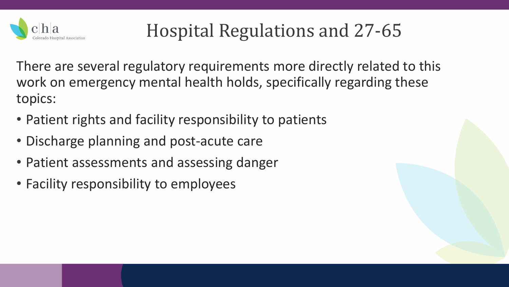

There are several regulatory requirements more directly related to this work on emergency mental health holds, specifically regarding these topics:

- Patient rights and facility responsibility to patients
- Discharge planning and post-acute care
- Patient assessments and assessing danger
- Facility responsibility to employees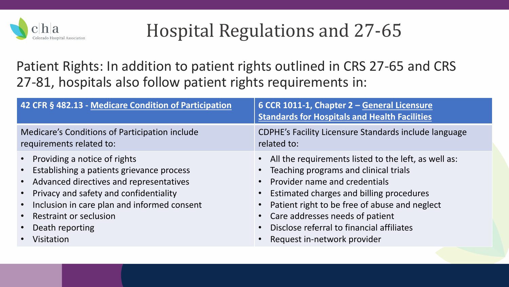

Patient Rights: In addition to patient rights outlined in CRS 27-65 and CRS 27-81, hospitals also follow patient rights requirements in:

| 42 CFR § 482.13 - Medicare Condition of Participation                                                                                                                                                                                                                                                                                                           | 6 CCR 1011-1, Chapter 2 - General Licensure<br><b>Standards for Hospitals and Health Facilities</b>                                                                                                                                                                                                                                                |
|-----------------------------------------------------------------------------------------------------------------------------------------------------------------------------------------------------------------------------------------------------------------------------------------------------------------------------------------------------------------|----------------------------------------------------------------------------------------------------------------------------------------------------------------------------------------------------------------------------------------------------------------------------------------------------------------------------------------------------|
| Medicare's Conditions of Participation include<br>requirements related to:                                                                                                                                                                                                                                                                                      | <b>CDPHE's Facility Licensure Standards include language</b><br>related to:                                                                                                                                                                                                                                                                        |
| • Providing a notice of rights<br>Establishing a patients grievance process<br>$\bullet$<br>Advanced directives and representatives<br>$\bullet$<br>Privacy and safety and confidentiality<br>$\bullet$<br>Inclusion in care plan and informed consent<br>$\bullet$<br><b>Restraint or seclusion</b><br>$\bullet$<br>Death reporting<br>$\bullet$<br>Visitation | • All the requirements listed to the left, as well as:<br>Teaching programs and clinical trials<br>• Provider name and credentials<br>• Estimated charges and billing procedures<br>Patient right to be free of abuse and neglect<br>• Care addresses needs of patient<br>Disclose referral to financial affiliates<br>Request in-network provider |
|                                                                                                                                                                                                                                                                                                                                                                 |                                                                                                                                                                                                                                                                                                                                                    |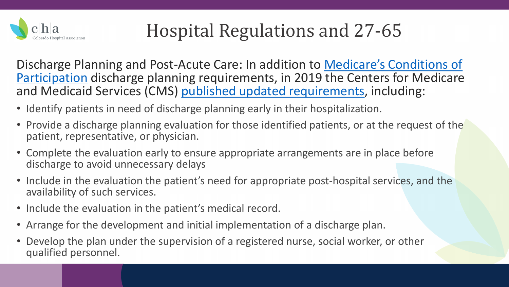

[Discharge Planning and Post-Acute Care: In addition to Medicare's Conditions of](https://www.law.cornell.edu/cfr/text/42/482.43)  Participation discharge planning requirements, in 2019 the Centers for Medicare and Medicaid Services (CMS) [published updated requirements,](https://www.cms.gov/newsroom/press-releases/cms-discharge-planning-rule-supports-interoperability-and-patient-preferences#:%7E:text=The%20Centers%20for%20Medicare%20%26%20Medicaid,improves%20quality%20by%20requiring%20hospitals) including:

- Identify patients in need of discharge planning early in their hospitalization.
- Provide a discharge planning evaluation for those identified patients, or at the request of the patient, representative, or physician.
- Complete the evaluation early to ensure appropriate arrangements are in place before discharge to avoid unnecessary delays
- Include in the evaluation the patient's need for appropriate post-hospital services, and the availability of such services.
- Include the evaluation in the patient's medical record.
- Arrange for the development and initial implementation of a discharge plan.
- Develop the plan under the supervision of a registered nurse, social worker, or other qualified personnel.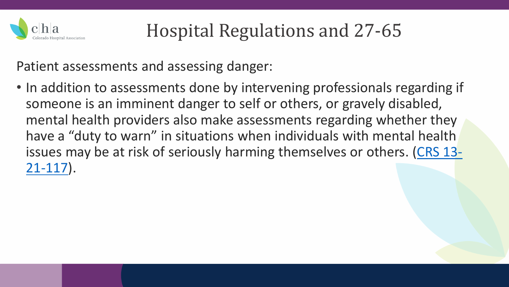

Patient assessments and assessing danger:

• In addition to assessments done by intervening professionals regarding if someone is an imminent danger to self or others, or gravely disabled, mental health providers also make assessments regarding whether they have a "duty to warn" in situations when individuals with mental health [issues may be at risk of seriously harming themselves or others. \(CRS 13-](https://advance.lexis.com/documentpage/?pdmfid=1000516&crid=a91bbf5d-fe08-4b46-9ac5-8c46ab62dd30&nodeid=AANAAHAABAABABN&nodepath=%2FROOT%2FAAN%2FAANAAH%2FAANAAHAAB%2FAANAAHAABAAB%2FAANAAHAABAABABN&level=5&haschildren=&populated=false&title=13-21-117.+Civil+liability+-+mental+health+providers+-+duty+to+warn+-+definitions&config=014FJAAyNGJkY2Y4Zi1mNjgyLTRkN2YtYmE4OS03NTYzNzYzOTg0OGEKAFBvZENhdGFsb2d592qv2Kywlf8caKqYROP5&pddocfullpath=%2Fshared%2Fdocument%2Fstatutes-legislation%2Furn%3AcontentItem%3A61P5-WRN1-DYDC-J08V-00008-00&ecomp=L38_9kk&prid=db8508b7-72c7-4ca1-b0c3-890a762dc317) 21-117).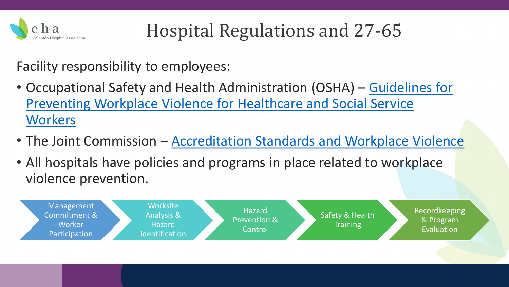

Facility responsibility to employees:

- Occupational Safety and Health Administration (OSHA) Guidelines for [Preventing Workplace Violence for Healthcare and Social Service](https://www.osha.gov/sites/default/files/publications/osha3148.pdf)  **Workers**
- The Joint Commission [Accreditation Standards and Workplace Violence](https://www.jointcommission.org/resources/patient-safety-topics/workplace-violence-prevention/standards-related-information/)
- All hospitals have policies and programs in place related to workplace violence prevention.

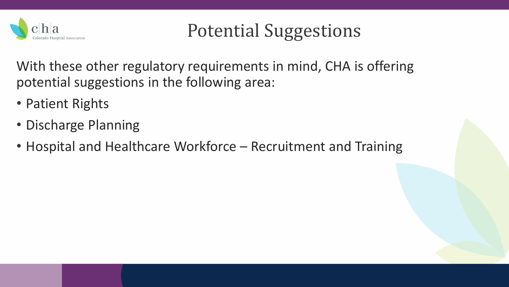

With these other regulatory requirements in mind, CHA is offering potential suggestions in the following area:

- Patient Rights
- Discharge Planning
- Hospital and Healthcare Workforce Recruitment and Training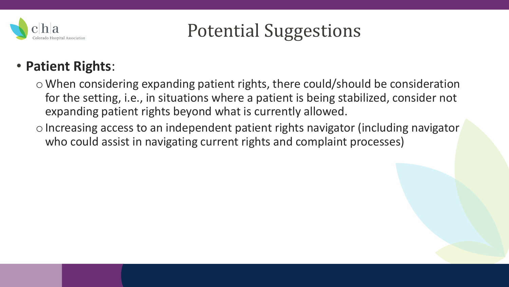

#### • **Patient Rights**:

o When considering expanding patient rights, there could/should be consideration for the setting, i.e., in situations where a patient is being stabilized, consider not expanding patient rights beyond what is currently allowed.

o Increasing access to an independent patient rights navigator (including navigator who could assist in navigating current rights and complaint processes)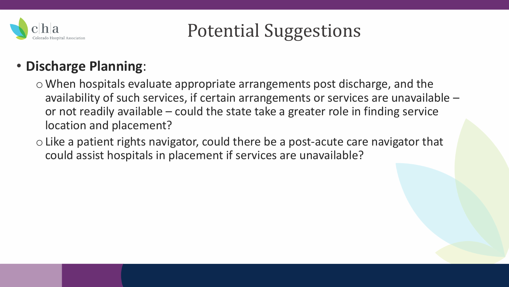

#### • **Discharge Planning**:

o When hospitals evaluate appropriate arrangements post discharge, and the availability of such services, if certain arrangements or services are unavailable – or not readily available – could the state take a greater role in finding service location and placement?

o Like a patient rights navigator, could there be a post-acute care navigator that could assist hospitals in placement if services are unavailable?